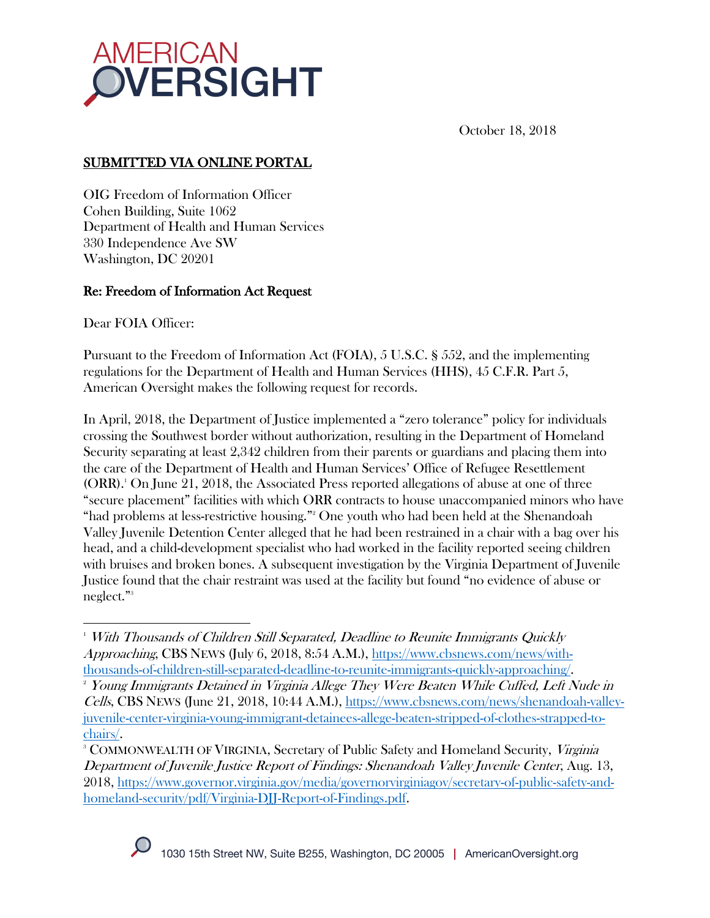

October 18, 2018

# SUBMITTED VIA ONLINE PORTAL

OIG Freedom of Information Officer Cohen Building, Suite 1062 Department of Health and Human Services 330 Independence Ave SW Washington, DC 20201

## Re: Freedom of Information Act Request

Dear FOIA Officer:

Pursuant to the Freedom of Information Act (FOIA), 5 U.S.C. § 552, and the implementing regulations for the Department of Health and Human Services (HHS), 45 C.F.R. Part 5, American Oversight makes the following request for records.

In April, 2018, the Department of Justice implemented a "zero tolerance" policy for individuals crossing the Southwest border without authorization, resulting in the Department of Homeland Security separating at least 2,342 children from their parents or guardians and placing them into the care of the Department of Health and Human Services' Office of Refugee Resettlement (ORR).<sup>1</sup> On June 21, 2018, the Associated Press reported allegations of abuse at one of three "secure placement" facilities with which ORR contracts to house unaccompanied minors who have "had problems at less-restrictive housing."<sup>2</sup> One youth who had been held at the Shenandoah Valley Juvenile Detention Center alleged that he had been restrained in a chair with a bag over his head, and a child-development specialist who had worked in the facility reported seeing children with bruises and broken bones. A subsequent investigation by the Virginia Department of Juvenile Justice found that the chair restraint was used at the facility but found "no evidence of abuse or neglect."3

<sup>&</sup>lt;sup>3</sup> COMMONWEALTH OF VIRGINIA, Secretary of Public Safety and Homeland Security, *Virginia* Department of Juvenile Justice Report of Findings: Shenandoah Valley Juvenile Center, Aug. 13, 2018, https://www.governor.virginia.gov/media/governorvirginiagov/secretary-of-public-safety-andhomeland-security/pdf/Virginia-DJJ-Report-of-Findings.pdf.



 $\overline{a}$ <sup>1</sup> With Thousands of Children Still Separated, Deadline to Reunite Immigrants Quickly Approaching, CBS NEWS (July 6, 2018, 8:54 A.M.), https://www.cbsnews.com/news/withthousands-of-children-still-separated-deadline-to-reunite-immigrants-quickly-approaching/.

<sup>&</sup>lt;sup>2</sup> Young Immigrants Detained in Virginia Allege They Were Beaten While Cuffed, Left Nude in Cells, CBS NEWS (June 21, 2018, 10:44 A.M.), https://www.cbsnews.com/news/shenandoah-valleyjuvenile-center-virginia-young-immigrant-detainees-allege-beaten-stripped-of-clothes-strapped-tochairs/.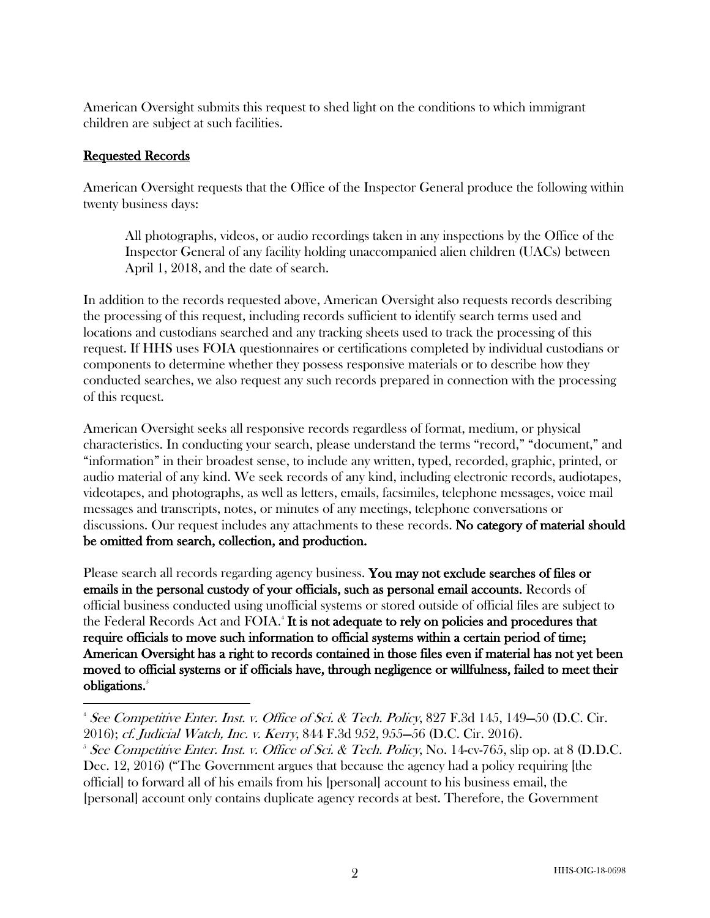American Oversight submits this request to shed light on the conditions to which immigrant children are subject at such facilities.

#### Requested Records

 $\overline{a}$ 

American Oversight requests that the Office of the Inspector General produce the following within twenty business days:

All photographs, videos, or audio recordings taken in any inspections by the Office of the Inspector General of any facility holding unaccompanied alien children (UACs) between April 1, 2018, and the date of search.

In addition to the records requested above, American Oversight also requests records describing the processing of this request, including records sufficient to identify search terms used and locations and custodians searched and any tracking sheets used to track the processing of this request. If HHS uses FOIA questionnaires or certifications completed by individual custodians or components to determine whether they possess responsive materials or to describe how they conducted searches, we also request any such records prepared in connection with the processing of this request.

American Oversight seeks all responsive records regardless of format, medium, or physical characteristics. In conducting your search, please understand the terms "record," "document," and "information" in their broadest sense, to include any written, typed, recorded, graphic, printed, or audio material of any kind. We seek records of any kind, including electronic records, audiotapes, videotapes, and photographs, as well as letters, emails, facsimiles, telephone messages, voice mail messages and transcripts, notes, or minutes of any meetings, telephone conversations or discussions. Our request includes any attachments to these records. No category of material should be omitted from search, collection, and production.

Please search all records regarding agency business. You may not exclude searches of files or emails in the personal custody of your officials, such as personal email accounts. Records of official business conducted using unofficial systems or stored outside of official files are subject to the Federal Records Act and FOIA.<sup>4</sup> It is not adequate to rely on policies and procedures that require officials to move such information to official systems within a certain period of time; American Oversight has a right to records contained in those files even if material has not yet been moved to official systems or if officials have, through negligence or willfulness, failed to meet their obligations.<sup>5</sup>

<sup>&</sup>lt;sup>4</sup> See Competitive Enter. Inst. v. Office of Sci. & Tech. Policy, 827 F.3d 145, 149–50 (D.C. Cir. 2016); cf. Judicial Watch, Inc. v. Kerry, 844 F.3d 952, 955—56 (D.C. Cir. 2016). 5

<sup>&</sup>lt;sup>5</sup> See Competitive Enter. Inst. v. Office of Sci. & Tech. Policy, No. 14-cv-765, slip op. at 8 (D.D.C. Dec. 12, 2016) ("The Government argues that because the agency had a policy requiring [the official] to forward all of his emails from his [personal] account to his business email, the [personal] account only contains duplicate agency records at best. Therefore, the Government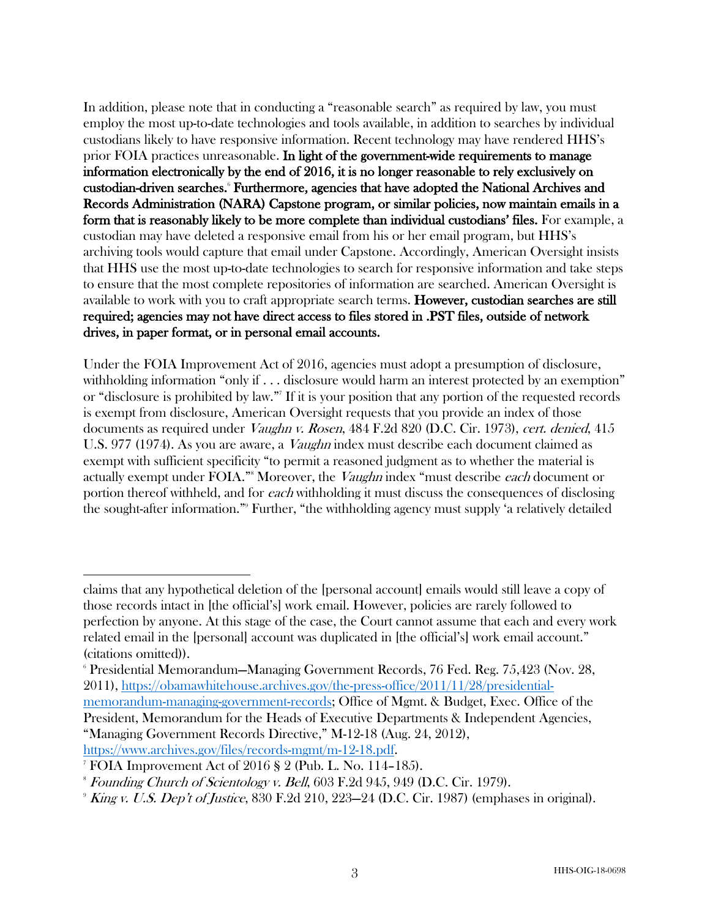In addition, please note that in conducting a "reasonable search" as required by law, you must employ the most up-to-date technologies and tools available, in addition to searches by individual custodians likely to have responsive information. Recent technology may have rendered HHS's prior FOIA practices unreasonable. In light of the government-wide requirements to manage information electronically by the end of 2016, it is no longer reasonable to rely exclusively on custodian-driven searches.<sup>6</sup> Furthermore, agencies that have adopted the National Archives and Records Administration (NARA) Capstone program, or similar policies, now maintain emails in a form that is reasonably likely to be more complete than individual custodians' files. For example, a custodian may have deleted a responsive email from his or her email program, but HHS's archiving tools would capture that email under Capstone. Accordingly, American Oversight insists that HHS use the most up-to-date technologies to search for responsive information and take steps to ensure that the most complete repositories of information are searched. American Oversight is available to work with you to craft appropriate search terms. However, custodian searches are still required; agencies may not have direct access to files stored in .PST files, outside of network drives, in paper format, or in personal email accounts.

Under the FOIA Improvement Act of 2016, agencies must adopt a presumption of disclosure, withholding information "only if . . . disclosure would harm an interest protected by an exemption" or "disclosure is prohibited by law."7 If it is your position that any portion of the requested records is exempt from disclosure, American Oversight requests that you provide an index of those documents as required under *Vaughn v. Rosen*, 484 F.2d 820 (D.C. Cir. 1973), cert. denied, 415 U.S. 977 (1974). As you are aware, a *Vaughn* index must describe each document claimed as exempt with sufficient specificity "to permit a reasoned judgment as to whether the material is actually exempt under FOIA."<sup>8</sup> Moreover, the *Vaughn* index "must describe *each* document or portion thereof withheld, and for each withholding it must discuss the consequences of disclosing the sought-after information."9 Further, "the withholding agency must supply 'a relatively detailed

 $\overline{a}$ 

claims that any hypothetical deletion of the [personal account] emails would still leave a copy of those records intact in [the official's] work email. However, policies are rarely followed to perfection by anyone. At this stage of the case, the Court cannot assume that each and every work related email in the [personal] account was duplicated in [the official's] work email account." (citations omitted)).

<sup>6</sup> Presidential Memorandum—Managing Government Records, 76 Fed. Reg. 75,423 (Nov. 28, 2011), https://obamawhitehouse.archives.gov/the-press-office/2011/11/28/presidentialmemorandum-managing-government-records; Office of Mgmt. & Budget, Exec. Office of the President, Memorandum for the Heads of Executive Departments & Independent Agencies, "Managing Government Records Directive," M-12-18 (Aug. 24, 2012),

https://www.archives.gov/files/records-mgmt/m-12-18.pdf. 7 FOIA Improvement Act of 2016 § 2 (Pub. L. No. 114–185).

<sup>8</sup> Founding Church of Scientology v. Bell, 603 F.2d 945, 949 (D.C. Cir. 1979).

 $^{\circ}$  King v. U.S. Dep't of Justice, 830 F.2d 210, 223–24 (D.C. Cir. 1987) (emphases in original).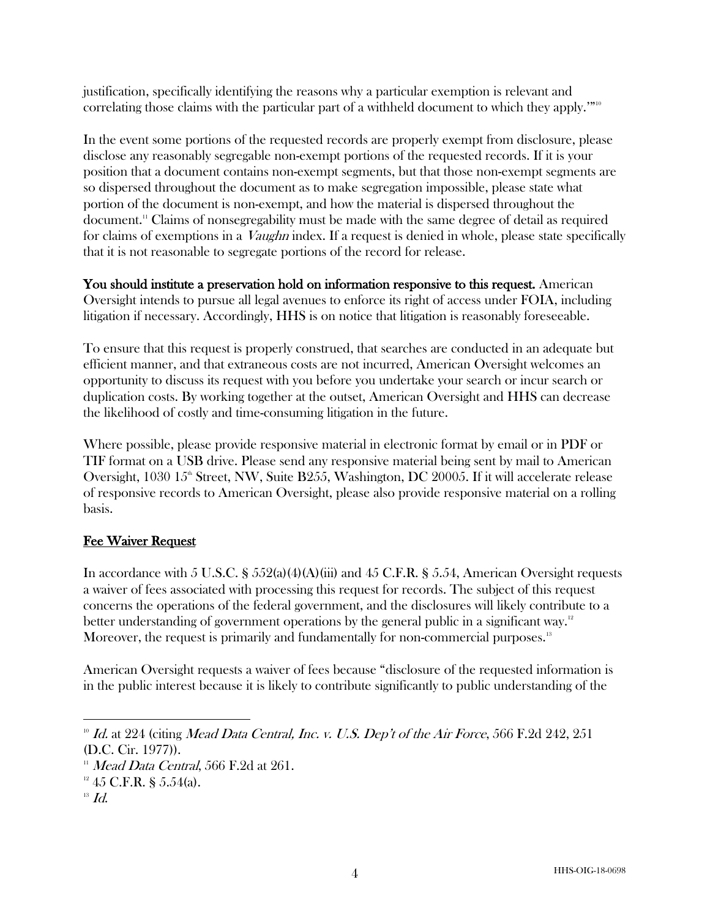justification, specifically identifying the reasons why a particular exemption is relevant and correlating those claims with the particular part of a withheld document to which they apply.'"<sup>10</sup>

In the event some portions of the requested records are properly exempt from disclosure, please disclose any reasonably segregable non-exempt portions of the requested records. If it is your position that a document contains non-exempt segments, but that those non-exempt segments are so dispersed throughout the document as to make segregation impossible, please state what portion of the document is non-exempt, and how the material is dispersed throughout the document.11 Claims of nonsegregability must be made with the same degree of detail as required for claims of exemptions in a *Vaughn* index. If a request is denied in whole, please state specifically that it is not reasonable to segregate portions of the record for release.

You should institute a preservation hold on information responsive to this request. American Oversight intends to pursue all legal avenues to enforce its right of access under FOIA, including litigation if necessary. Accordingly, HHS is on notice that litigation is reasonably foreseeable.

To ensure that this request is properly construed, that searches are conducted in an adequate but efficient manner, and that extraneous costs are not incurred, American Oversight welcomes an opportunity to discuss its request with you before you undertake your search or incur search or duplication costs. By working together at the outset, American Oversight and HHS can decrease the likelihood of costly and time-consuming litigation in the future.

Where possible, please provide responsive material in electronic format by email or in PDF or TIF format on a USB drive. Please send any responsive material being sent by mail to American Oversight,  $1030 \, 15^{\text{th}}$  Street, NW, Suite B255, Washington, DC 20005. If it will accelerate release of responsive records to American Oversight, please also provide responsive material on a rolling basis.

## Fee Waiver Request

In accordance with 5 U.S.C. § 552(a)(4)(A)(iii) and 45 C.F.R. § 5.54, American Oversight requests a waiver of fees associated with processing this request for records. The subject of this request concerns the operations of the federal government, and the disclosures will likely contribute to a better understanding of government operations by the general public in a significant way.<sup>12</sup> Moreover, the request is primarily and fundamentally for non-commercial purposes.<sup>13</sup>

American Oversight requests a waiver of fees because "disclosure of the requested information is in the public interest because it is likely to contribute significantly to public understanding of the

 $\overline{a}$  $10$  Id. at 224 (citing Mead Data Central, Inc. v. U.S. Dep't of the Air Force, 566 F.2d 242, 251

<sup>(</sup>D.C. Cir. 1977)).

 $11$  Mead Data Central, 566 F.2d at 261.

 $12$  45 C.F.R. § 5.54(a).

 $13$   $Id.$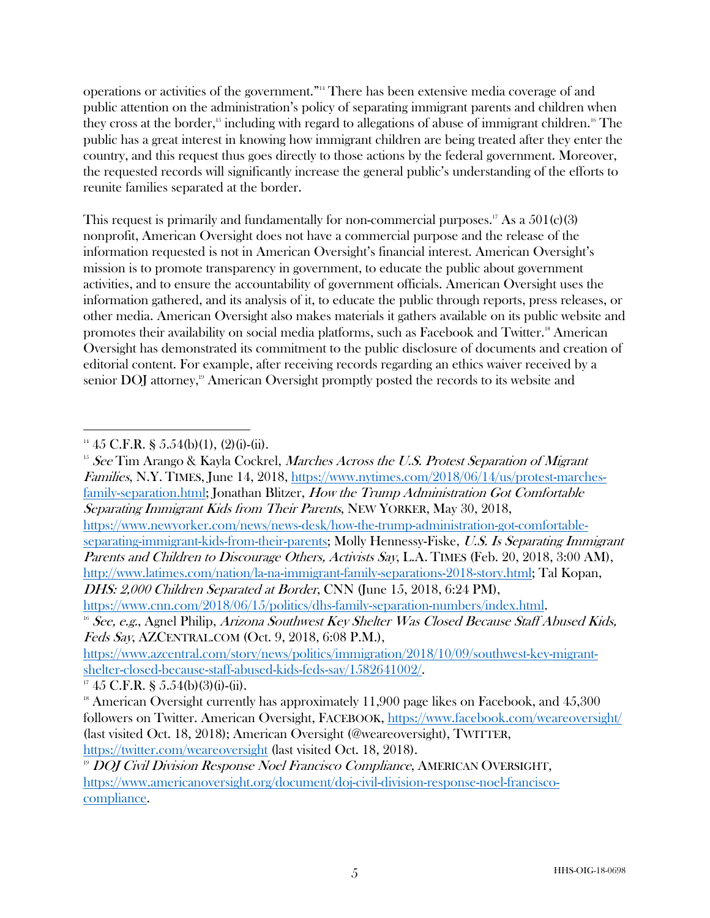operations or activities of the government."14 There has been extensive media coverage of and public attention on the administration's policy of separating immigrant parents and children when they cross at the border, <sup>15</sup> including with regard to allegations of abuse of immigrant children.16 The public has a great interest in knowing how immigrant children are being treated after they enter the country, and this request thus goes directly to those actions by the federal government. Moreover, the requested records will significantly increase the general public's understanding of the efforts to reunite families separated at the border.

This request is primarily and fundamentally for non-commercial purposes.<sup>17</sup> As a  $501(c)(3)$ nonprofit, American Oversight does not have a commercial purpose and the release of the information requested is not in American Oversight's financial interest. American Oversight's mission is to promote transparency in government, to educate the public about government activities, and to ensure the accountability of government officials. American Oversight uses the information gathered, and its analysis of it, to educate the public through reports, press releases, or other media. American Oversight also makes materials it gathers available on its public website and promotes their availability on social media platforms, such as Facebook and Twitter.<sup>18</sup> American Oversight has demonstrated its commitment to the public disclosure of documents and creation of editorial content. For example, after receiving records regarding an ethics waiver received by a senior DOJ attorney,<sup>19</sup> American Oversight promptly posted the records to its website and

 $15$  See Tim Arango & Kayla Cockrel, *Marches Across the U.S. Protest Separation of Migrant* Families, N.Y. TIMES, June 14, 2018, https://www.nytimes.com/2018/06/14/us/protest-marchesfamily-separation.html; Jonathan Blitzer, How the Trump Administration Got Comfortable Separating Immigrant Kids from Their Parents, NEW YORKER, May 30, 2018, https://www.newyorker.com/news/news-desk/how-the-trump-administration-got-comfortableseparating-immigrant-kids-from-their-parents; Molly Hennessy-Fiske, U.S. Is Separating Immigrant Parents and Children to Discourage Others, Activists Say, L.A. TIMES (Feb. 20, 2018, 3:00 AM), http://www.latimes.com/nation/la-na-immigrant-family-separations-2018-story.html; Tal Kopan,

DHS: 2,000 Children Separated at Border, CNN (June 15, 2018, 6:24 PM),

https://www.cnn.com/2018/06/15/politics/dhs-family-separation-numbers/index.html.  $16$  See, e.g., Agnel Philip, Arizona Southwest Key Shelter Was Closed Because Staff Abused Kids,

Feds Say, AZCENTRAL.COM (Oct. 9, 2018, 6:08 P.M.), https://www.azcentral.com/story/news/politics/immigration/2018/10/09/southwest-key-migrantshelter-closed-because-staff-abused-kids-feds-say/1582641002/.<br><sup>17</sup> 45 C.F.R. § 5.54(b)(3)(i)-(ii).

 $\overline{a}$  $14\,45$  C.F.R. § 5.54(b)(1), (2)(i)-(ii).

 $18$  American Oversight currently has approximately 11,900 page likes on Facebook, and 45,300 followers on Twitter. American Oversight, FACEBOOK, https://www.facebook.com/weareoversight/ (last visited Oct. 18, 2018); American Oversight (@weareoversight), TWITTER, https://twitter.com/weareoversight (last visited Oct. 18, 2018).

<sup>&</sup>lt;sup>19</sup> DOJ Civil Division Response Noel Francisco Compliance, AMERICAN OVERSIGHT, https://www.americanoversight.org/document/doj-civil-division-response-noel-franciscocompliance.